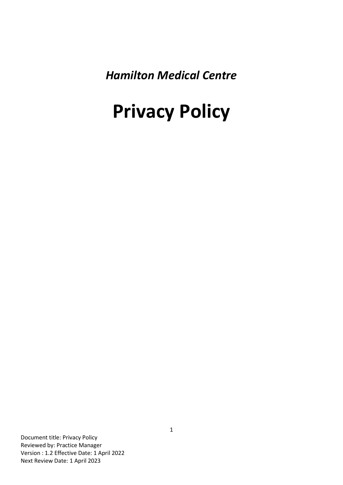*Hamilton Medical Centre*

# **Privacy Policy**

Document title: Privacy Policy Reviewed by: Practice Manager Version : 1.2 Effective Date: 1 April 2022 Next Review Date: 1 April 2023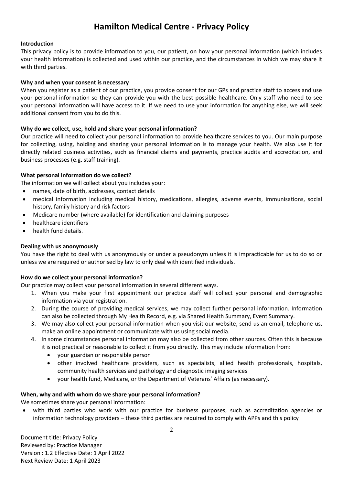# **Hamilton Medical Centre - Privacy Policy**

# **Introduction**

This privacy policy is to provide information to you, our patient, on how your personal information (which includes your health information) is collected and used within our practice, and the circumstances in which we may share it with third parties.

### **Why and when your consent is necessary**

When you register as a patient of our practice, you provide consent for our GPs and practice staff to access and use your personal information so they can provide you with the best possible healthcare. Only staff who need to see your personal information will have access to it. If we need to use your information for anything else, we will seek additional consent from you to do this.

# **Why do we collect, use, hold and share your personal information?**

Our practice will need to collect your personal information to provide healthcare services to you. Our main purpose for collecting, using, holding and sharing your personal information is to manage your health. We also use it for directly related business activities, such as financial claims and payments, practice audits and accreditation, and business processes (e.g. staff training).

# **What personal information do we collect?**

The information we will collect about you includes your:

- names, date of birth, addresses, contact details
- medical information including medical history, medications, allergies, adverse events, immunisations, social history, family history and risk factors
- Medicare number (where available) for identification and claiming purposes
- healthcare identifiers
- health fund details.

# **Dealing with us anonymously**

You have the right to deal with us anonymously or under a pseudonym unless it is impracticable for us to do so or unless we are required or authorised by law to only deal with identified individuals.

#### **How do we collect your personal information?**

Our practice may collect your personal information in several different ways.

- 1. When you make your first appointment our practice staff will collect your personal and demographic information via your registration.
- 2. During the course of providing medical services, we may collect further personal information. Information can also be collected through My Health Record, e.g. via Shared Health Summary, Event Summary.
- 3. We may also collect your personal information when you visit our website, send us an email, telephone us, make an online appointment or communicate with us using social media.
- 4. In some circumstances personal information may also be collected from other sources. Often this is because it is not practical or reasonable to collect it from you directly. This may include information from:
	- your guardian or responsible person
	- other involved healthcare providers, such as specialists, allied health professionals, hospitals, community health services and pathology and diagnostic imaging services
	- your health fund, Medicare, or the Department of Veterans' Affairs (as necessary).

#### **When, why and with whom do we share your personal information?**

We sometimes share your personal information:

with third parties who work with our practice for business purposes, such as accreditation agencies or information technology providers – these third parties are required to comply with APPs and this policy

Document title: Privacy Policy Reviewed by: Practice Manager Version : 1.2 Effective Date: 1 April 2022 Next Review Date: 1 April 2023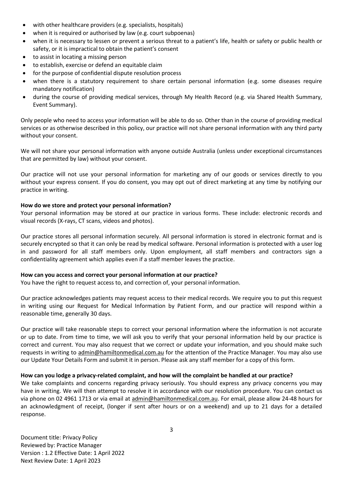- with other healthcare providers (e.g. specialists, hospitals)
- when it is required or authorised by law (e.g. court subpoenas)
- when it is necessary to lessen or prevent a serious threat to a patient's life, health or safety or public health or safety, or it is impractical to obtain the patient's consent
- to assist in locating a missing person
- to establish, exercise or defend an equitable claim
- for the purpose of confidential dispute resolution process
- when there is a statutory requirement to share certain personal information (e.g. some diseases require mandatory notification)
- during the course of providing medical services, through My Health Record (e.g. via Shared Health Summary, Event Summary).

Only people who need to access your information will be able to do so. Other than in the course of providing medical services or as otherwise described in this policy, our practice will not share personal information with any third party without your consent.

We will not share your personal information with anyone outside Australia (unless under exceptional circumstances that are permitted by law) without your consent.

Our practice will not use your personal information for marketing any of our goods or services directly to you without your express consent. If you do consent, you may opt out of direct marketing at any time by notifying our practice in writing.

#### **How do we store and protect your personal information?**

Your personal information may be stored at our practice in various forms. These include: electronic records and visual records (X-rays, CT scans, videos and photos).

Our practice stores all personal information securely. All personal information is stored in electronic format and is securely encrypted so that it can only be read by medical software. Personal information is protected with a user log in and password for all staff members only. Upon employment, all staff members and contractors sign a confidentiality agreement which applies even if a staff member leaves the practice.

#### **How can you access and correct your personal information at our practice?**

You have the right to request access to, and correction of, your personal information.

Our practice acknowledges patients may request access to their medical records. We require you to put this request in writing using our Request for Medical Information by Patient Form, and our practice will respond within a reasonable time, generally 30 days.

Our practice will take reasonable steps to correct your personal information where the information is not accurate or up to date. From time to time, we will ask you to verify that your personal information held by our practice is correct and current. You may also request that we correct or update your information, and you should make such requests in writing to [admin@hamiltonmedical.com.au](mailto:admin@hamiltonmedical.com.au) for the attention of the Practice Manager. You may also use our Update Your Details Form and submit it in person. Please ask any staff member for a copy of this form.

#### **How can you lodge a privacy-related complaint, and how will the complaint be handled at our practice?**

We take complaints and concerns regarding privacy seriously. You should express any privacy concerns you may have in writing. We will then attempt to resolve it in accordance with our resolution procedure. You can contact us via phone on 02 4961 1713 or via email at [admin@hamiltonmedical.com.au.](mailto:admin@hamiltonmedical.com.au) For email, please allow 24-48 hours for an acknowledgment of receipt, (longer if sent after hours or on a weekend) and up to 21 days for a detailed response.